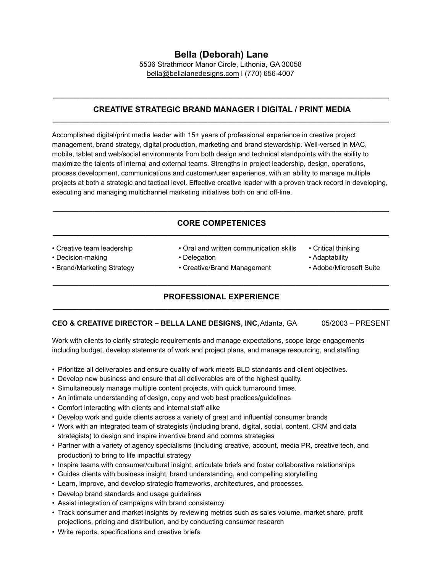**Bella (Deborah) Lane**  5536 Strathmoor Manor Circle, Lithonia, GA 30058 [bella@bellalanedesigns.com](mailto:bella@bellalanedesigns.com) l (770) 656-4007

#### **CREATIVE STRATEGIC BRAND MANAGER l DIGITAL / PRINT MEDIA \_\_\_\_\_\_\_\_\_\_\_\_\_\_\_\_\_\_\_\_\_\_\_\_\_\_\_\_\_\_\_\_\_\_\_\_\_\_\_\_\_\_\_\_\_\_\_\_\_\_\_\_\_\_\_\_\_\_\_\_\_\_\_\_\_\_\_\_\_\_\_\_\_\_\_\_**

**\_\_\_\_\_\_\_\_\_\_\_\_\_\_\_\_\_\_\_\_\_\_\_\_\_\_\_\_\_\_\_\_\_\_\_\_\_\_\_\_\_\_\_\_\_\_\_\_\_\_\_\_\_\_\_\_\_\_\_\_\_\_\_\_\_\_\_\_\_\_\_\_\_\_\_\_** 

Accomplished digital/print media leader with 15+ years of professional experience in creative project management, brand strategy, digital production, marketing and brand stewardship. Well-versed in MAC, mobile, tablet and web/social environments from both design and technical standpoints with the ability to maximize the talents of internal and external teams. Strengths in project leadership, design, operations, process development, communications and customer/user experience, with an ability to manage multiple projects at both a strategic and tactical level. Effective creative leader with a proven track record in developing, executing and managing multichannel marketing initiatives both on and off-line.

#### **CORE COMPETENICES \_\_\_\_\_\_\_\_\_\_\_\_\_\_\_\_\_\_\_\_\_\_\_\_\_\_\_\_\_\_\_\_\_\_\_\_\_\_\_\_\_\_\_\_\_\_\_\_\_\_\_\_\_\_\_\_\_\_\_\_\_\_\_\_\_\_\_\_\_\_\_\_\_\_\_\_**

**\_\_\_\_\_\_\_\_\_\_\_\_\_\_\_\_\_\_\_\_\_\_\_\_\_\_\_\_\_\_\_\_\_\_\_\_\_\_\_\_\_\_\_\_\_\_\_\_\_\_\_\_\_\_\_\_\_\_\_\_\_\_\_\_\_\_\_\_\_\_\_\_\_\_\_\_** 

• Creative team leadership • Oral and written communication skills • Critical thinking • Decision-making **• Delegation** • Delegation **• Adaptability** • American **• And** • Brand/Marketing Strategy • Creative/Brand Management • Adobe/Microsoft Suite

# **\_\_\_\_\_\_\_\_\_\_\_\_\_\_\_\_\_\_\_\_\_\_\_\_\_\_\_\_\_\_\_\_\_\_\_\_\_\_\_\_\_\_\_\_\_\_\_\_\_\_\_\_\_\_\_\_\_\_\_\_\_\_\_\_\_\_\_\_\_\_\_\_\_\_\_\_ PROFESSIONAL EXPERIENCE \_\_\_\_\_\_\_\_\_\_\_\_\_\_\_\_\_\_\_\_\_\_\_\_\_\_\_\_\_\_\_\_\_\_\_\_\_\_\_\_\_\_\_\_\_\_\_\_\_\_\_\_\_\_\_\_\_\_\_\_\_\_\_\_\_\_\_\_\_\_\_\_\_\_\_\_**

### **CEO & CREATIVE DIRECTOR – BELLA LANE DESIGNS, INC, Atlanta, GA** 05/2003 – PRESENT

Work with clients to clarify strategic requirements and manage expectations, scope large engagements including budget, develop statements of work and project plans, and manage resourcing, and staffing.

- Prioritize all deliverables and ensure quality of work meets BLD standards and client objectives.
- Develop new business and ensure that all deliverables are of the highest quality.
- Simultaneously manage multiple content projects, with quick turnaround times.
- An intimate understanding of design, copy and web best practices/guidelines
- Comfort interacting with clients and internal staff alike
- Develop work and guide clients across a variety of great and influential consumer brands
- Work with an integrated team of strategists (including brand, digital, social, content, CRM and data strategists) to design and inspire inventive brand and comms strategies
- Partner with a variety of agency specialisms (including creative, account, media PR, creative tech, and production) to bring to life impactful strategy
- Inspire teams with consumer/cultural insight, articulate briefs and foster collaborative relationships
- Guides clients with business insight, brand understanding, and compelling storytelling
- Learn, improve, and develop strategic frameworks, architectures, and processes.
- Develop brand standards and usage guidelines
- Assist integration of campaigns with brand consistency
- Track consumer and market insights by reviewing metrics such as sales volume, market share, profit projections, pricing and distribution, and by conducting consumer research
- Write reports, specifications and creative briefs